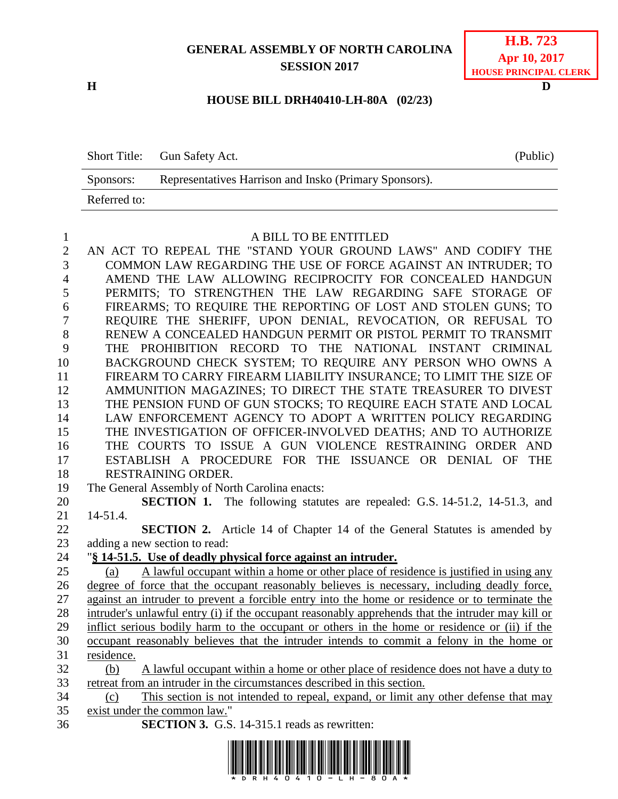## **GENERAL ASSEMBLY OF NORTH CAROLINA SESSION 2017**

**H D**

## **HOUSE BILL DRH40410-LH-80A (02/23)**

|              | Short Title: Gun Safety Act.                           | (Public) |
|--------------|--------------------------------------------------------|----------|
| Sponsors:    | Representatives Harrison and Insko (Primary Sponsors). |          |
| Referred to: |                                                        |          |

## A BILL TO BE ENTITLED

 AN ACT TO REPEAL THE "STAND YOUR GROUND LAWS" AND CODIFY THE COMMON LAW REGARDING THE USE OF FORCE AGAINST AN INTRUDER; TO AMEND THE LAW ALLOWING RECIPROCITY FOR CONCEALED HANDGUN PERMITS; TO STRENGTHEN THE LAW REGARDING SAFE STORAGE OF FIREARMS; TO REQUIRE THE REPORTING OF LOST AND STOLEN GUNS; TO REQUIRE THE SHERIFF, UPON DENIAL, REVOCATION, OR REFUSAL TO RENEW A CONCEALED HANDGUN PERMIT OR PISTOL PERMIT TO TRANSMIT THE PROHIBITION RECORD TO THE NATIONAL INSTANT CRIMINAL BACKGROUND CHECK SYSTEM; TO REQUIRE ANY PERSON WHO OWNS A FIREARM TO CARRY FIREARM LIABILITY INSURANCE; TO LIMIT THE SIZE OF AMMUNITION MAGAZINES; TO DIRECT THE STATE TREASURER TO DIVEST THE PENSION FUND OF GUN STOCKS; TO REQUIRE EACH STATE AND LOCAL LAW ENFORCEMENT AGENCY TO ADOPT A WRITTEN POLICY REGARDING THE INVESTIGATION OF OFFICER-INVOLVED DEATHS; AND TO AUTHORIZE THE COURTS TO ISSUE A GUN VIOLENCE RESTRAINING ORDER AND ESTABLISH A PROCEDURE FOR THE ISSUANCE OR DENIAL OF THE RESTRAINING ORDER. The General Assembly of North Carolina enacts: **SECTION 1.** The following statutes are repealed: G.S. 14-51.2, 14-51.3, and

 14-51.4. **SECTION 2.** Article 14 of Chapter 14 of the General Statutes is amended by

adding a new section to read:

## "**§ 14-51.5. Use of deadly physical force against an intruder.**

 (a) A lawful occupant within a home or other place of residence is justified in using any degree of force that the occupant reasonably believes is necessary, including deadly force, against an intruder to prevent a forcible entry into the home or residence or to terminate the intruder's unlawful entry (i) if the occupant reasonably apprehends that the intruder may kill or inflict serious bodily harm to the occupant or others in the home or residence or (ii) if the occupant reasonably believes that the intruder intends to commit a felony in the home or residence. (b) A lawful occupant within a home or other place of residence does not have a duty to

retreat from an intruder in the circumstances described in this section.

- (c) This section is not intended to repeal, expand, or limit any other defense that may exist under the common law."
- **SECTION 3.** G.S. 14-315.1 reads as rewritten:

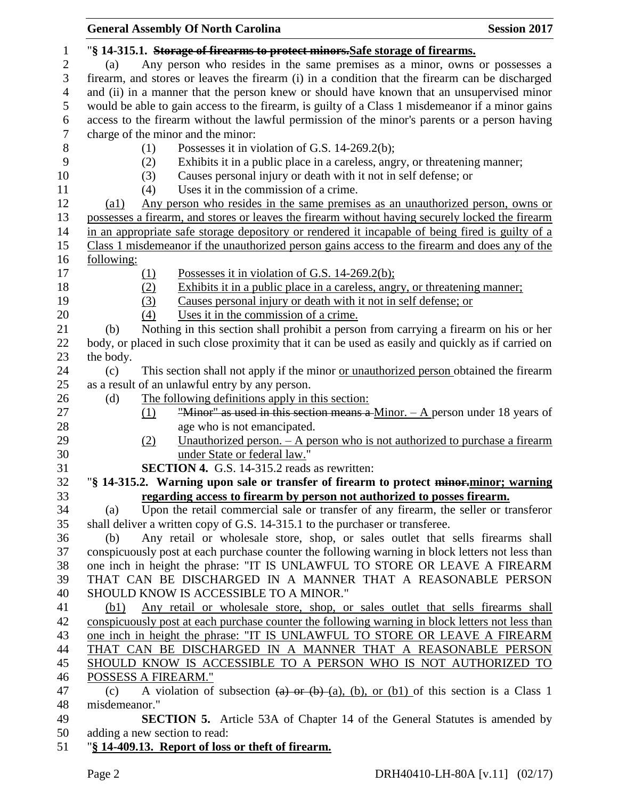|                | <b>General Assembly Of North Carolina</b>                                                                          | <b>Session 2017</b> |
|----------------|--------------------------------------------------------------------------------------------------------------------|---------------------|
| $\mathbf{1}$   | "§ 14-315.1. Storage of firearms to protect minors. Safe storage of firearms.                                      |                     |
| $\mathbf{2}$   | Any person who resides in the same premises as a minor, owns or possesses a<br>(a)                                 |                     |
| 3              | firearm, and stores or leaves the firearm (i) in a condition that the firearm can be discharged                    |                     |
| $\overline{4}$ | and (ii) in a manner that the person knew or should have known that an unsupervised minor                          |                     |
| 5              | would be able to gain access to the firearm, is guilty of a Class 1 misdemeanor if a minor gains                   |                     |
| 6              | access to the firearm without the lawful permission of the minor's parents or a person having                      |                     |
| $\tau$         | charge of the minor and the minor:                                                                                 |                     |
| $8\,$          | Possesses it in violation of G.S. 14-269.2(b);<br>(1)                                                              |                     |
| 9              | Exhibits it in a public place in a careless, angry, or threatening manner;<br>(2)                                  |                     |
| 10             | Causes personal injury or death with it not in self defense; or<br>(3)                                             |                     |
| 11             | Uses it in the commission of a crime.<br>(4)                                                                       |                     |
| 12             | Any person who resides in the same premises as an unauthorized person, owns or<br>$\left( a1\right)$               |                     |
| 13             | possesses a firearm, and stores or leaves the firearm without having securely locked the firearm                   |                     |
| 14             | in an appropriate safe storage depository or rendered it incapable of being fired is guilty of a                   |                     |
| 15             | Class 1 misdemeanor if the unauthorized person gains access to the firearm and does any of the                     |                     |
| 16             | following:                                                                                                         |                     |
| 17             | Possesses it in violation of G.S. 14-269.2(b);<br><u>(1)</u>                                                       |                     |
| 18             | (2)<br>Exhibits it in a public place in a careless, angry, or threatening manner;                                  |                     |
| 19             | Causes personal injury or death with it not in self defense; or<br>(3)                                             |                     |
| 20             | Uses it in the commission of a crime.<br>(4)                                                                       |                     |
| 21             | Nothing in this section shall prohibit a person from carrying a firearm on his or her<br>(b)                       |                     |
| 22             | body, or placed in such close proximity that it can be used as easily and quickly as if carried on                 |                     |
| 23             | the body.                                                                                                          |                     |
| 24             | This section shall not apply if the minor or unauthorized person obtained the firearm<br>(c)                       |                     |
| 25             | as a result of an unlawful entry by any person.                                                                    |                     |
| 26             | The following definitions apply in this section:<br>(d)                                                            |                     |
| 27             | "Minor" as used in this section means a Minor. $-$ A person under 18 years of<br>(1)                               |                     |
| 28             | age who is not emancipated.                                                                                        |                     |
| 29             | Unauthorized person. - A person who is not authorized to purchase a firearm<br>(2)                                 |                     |
| 30             | under State or federal law."                                                                                       |                     |
| 31             | <b>SECTION 4.</b> G.S. 14-315.2 reads as rewritten:                                                                |                     |
| 32             | "§ 14-315.2. Warning upon sale or transfer of firearm to protect minor-minor; warning                              |                     |
| 33             | regarding access to firearm by person not authorized to posses firearm.                                            |                     |
| 34             | Upon the retail commercial sale or transfer of any firearm, the seller or transferor<br>(a)                        |                     |
| 35             | shall deliver a written copy of G.S. 14-315.1 to the purchaser or transferee.                                      |                     |
| 36             | Any retail or wholesale store, shop, or sales outlet that sells firearms shall<br>(b)                              |                     |
| 37             | conspicuously post at each purchase counter the following warning in block letters not less than                   |                     |
| 38             | one inch in height the phrase: "IT IS UNLAWFUL TO STORE OR LEAVE A FIREARM                                         |                     |
| 39             | THAT CAN BE DISCHARGED IN A MANNER THAT A REASONABLE PERSON                                                        |                     |
| 40             | SHOULD KNOW IS ACCESSIBLE TO A MINOR."                                                                             |                     |
| 41             | Any retail or wholesale store, shop, or sales outlet that sells firearms shall<br>(b1)                             |                     |
| 42             | conspicuously post at each purchase counter the following warning in block letters not less than                   |                     |
| 43             | one inch in height the phrase: "IT IS UNLAWFUL TO STORE OR LEAVE A FIREARM                                         |                     |
| 44             | THAT CAN BE DISCHARGED IN A MANNER THAT A REASONABLE PERSON                                                        |                     |
| 45             | SHOULD KNOW IS ACCESSIBLE TO A PERSON WHO IS NOT AUTHORIZED TO                                                     |                     |
| 46             | POSSESS A FIREARM."                                                                                                |                     |
| 47             | A violation of subsection $(a)$ or $(b)$ $(a)$ , $(b)$ , or $(b1)$ of this section is a Class 1<br>(c)             |                     |
| 48             | misdemeanor."                                                                                                      |                     |
| 49             | <b>SECTION 5.</b> Article 53A of Chapter 14 of the General Statutes is amended by<br>adding a new section to read: |                     |
| 50<br>51       | "§ 14-409.13. Report of loss or theft of firearm.                                                                  |                     |
|                |                                                                                                                    |                     |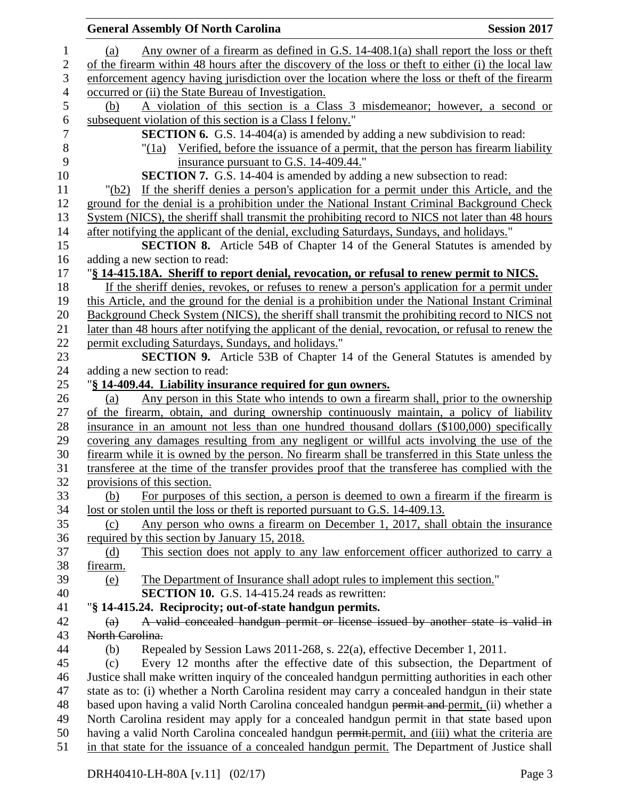| <b>General Assembly Of North Carolina</b>                                                            | <b>Session 2017</b> |
|------------------------------------------------------------------------------------------------------|---------------------|
| Any owner of a firearm as defined in G.S. 14-408.1(a) shall report the loss or theft<br>(a)          |                     |
| of the firearm within 48 hours after the discovery of the loss or theft to either (i) the local law  |                     |
| enforcement agency having jurisdiction over the location where the loss or theft of the firearm      |                     |
| occurred or (ii) the State Bureau of Investigation.                                                  |                     |
| A violation of this section is a Class 3 misdemeanor; however, a second or<br>(b)                    |                     |
| subsequent violation of this section is a Class I felony."                                           |                     |
| <b>SECTION 6.</b> G.S. 14-404(a) is amended by adding a new subdivision to read:                     |                     |
| $\frac{1}{1}$ Verified, before the issuance of a permit, that the person has firearm liability       |                     |
| insurance pursuant to G.S. 14-409.44."                                                               |                     |
| <b>SECTION 7.</b> G.S. 14-404 is amended by adding a new subsection to read:                         |                     |
| If the sheriff denies a person's application for a permit under this Article, and the<br>"(b2)       |                     |
| ground for the denial is a prohibition under the National Instant Criminal Background Check          |                     |
| System (NICS), the sheriff shall transmit the prohibiting record to NICS not later than 48 hours     |                     |
| after notifying the applicant of the denial, excluding Saturdays, Sundays, and holidays."            |                     |
| SECTION 8. Article 54B of Chapter 14 of the General Statutes is amended by                           |                     |
| adding a new section to read:                                                                        |                     |
| "§ 14-415.18A. Sheriff to report denial, revocation, or refusal to renew permit to NICS.             |                     |
| If the sheriff denies, revokes, or refuses to renew a person's application for a permit under        |                     |
| this Article, and the ground for the denial is a prohibition under the National Instant Criminal     |                     |
| Background Check System (NICS), the sheriff shall transmit the prohibiting record to NICS not        |                     |
| later than 48 hours after notifying the applicant of the denial, revocation, or refusal to renew the |                     |
| permit excluding Saturdays, Sundays, and holidays."                                                  |                     |
| <b>SECTION 9.</b> Article 53B of Chapter 14 of the General Statutes is amended by                    |                     |
| adding a new section to read:                                                                        |                     |
| "§ 14-409.44. Liability insurance required for gun owners.                                           |                     |
| Any person in this State who intends to own a firearm shall, prior to the ownership<br>(a)           |                     |
| of the firearm, obtain, and during ownership continuously maintain, a policy of liability            |                     |
| insurance in an amount not less than one hundred thousand dollars (\$100,000) specifically           |                     |
| covering any damages resulting from any negligent or willful acts involving the use of the           |                     |
| firearm while it is owned by the person. No firearm shall be transferred in this State unless the    |                     |
| transferee at the time of the transfer provides proof that the transferee has complied with the      |                     |
| provisions of this section.                                                                          |                     |
| For purposes of this section, a person is deemed to own a firearm if the firearm is<br>(b)           |                     |
| lost or stolen until the loss or theft is reported pursuant to G.S. 14-409.13.                       |                     |
| Any person who owns a firearm on December 1, 2017, shall obtain the insurance<br>(c)                 |                     |
| required by this section by January 15, 2018.                                                        |                     |
| This section does not apply to any law enforcement officer authorized to carry a<br>(d)              |                     |
| firearm.                                                                                             |                     |
| The Department of Insurance shall adopt rules to implement this section."<br>(e)                     |                     |
| <b>SECTION 10.</b> G.S. 14-415.24 reads as rewritten:                                                |                     |
| "§ 14-415.24. Reciprocity; out-of-state handgun permits.                                             |                     |
| A valid concealed handgun permit or license issued by another state is valid in<br>$\left( a\right)$ |                     |
| North Carolina.                                                                                      |                     |
| Repealed by Session Laws 2011-268, s. 22(a), effective December 1, 2011.<br>(b)                      |                     |
| Every 12 months after the effective date of this subsection, the Department of<br>(c)                |                     |
| Justice shall make written inquiry of the concealed handgun permitting authorities in each other     |                     |
| state as to: (i) whether a North Carolina resident may carry a concealed handgun in their state      |                     |
| based upon having a valid North Carolina concealed handgun permit and permit, (ii) whether a         |                     |
| North Carolina resident may apply for a concealed handgun permit in that state based upon            |                     |
| having a valid North Carolina concealed handgun permit.permit, and (iii) what the criteria are       |                     |
| in that state for the issuance of a concealed handgun permit. The Department of Justice shall        |                     |
|                                                                                                      |                     |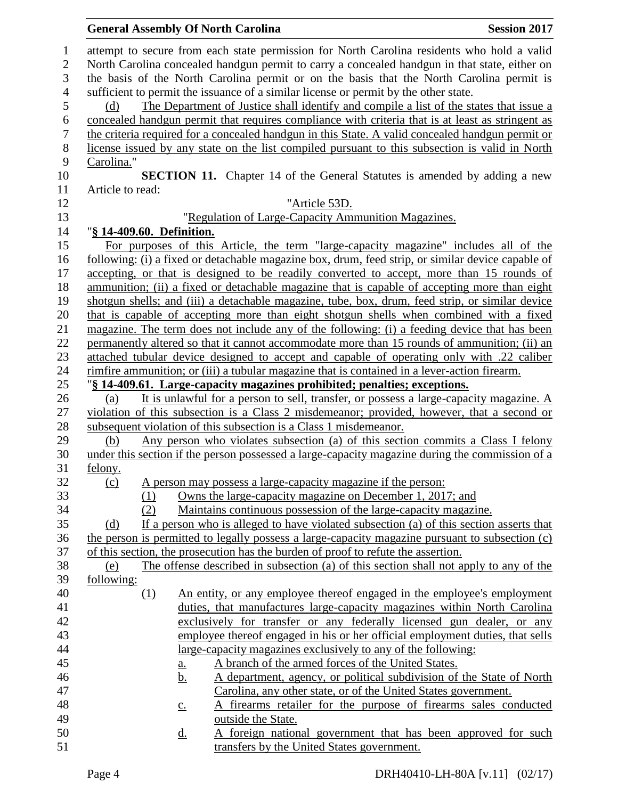|                  |                            | <b>General Assembly Of North Carolina</b>                                                         | <b>Session 2017</b> |
|------------------|----------------------------|---------------------------------------------------------------------------------------------------|---------------------|
|                  |                            | attempt to secure from each state permission for North Carolina residents who hold a valid        |                     |
|                  |                            | North Carolina concealed handgun permit to carry a concealed handgun in that state, either on     |                     |
|                  |                            | the basis of the North Carolina permit or on the basis that the North Carolina permit is          |                     |
|                  |                            | sufficient to permit the issuance of a similar license or permit by the other state.              |                     |
| (d)              |                            | The Department of Justice shall identify and compile a list of the states that issue a            |                     |
|                  |                            | concealed handgun permit that requires compliance with criteria that is at least as stringent as  |                     |
|                  |                            | the criteria required for a concealed handgun in this State. A valid concealed handgun permit or  |                     |
|                  |                            | license issued by any state on the list compiled pursuant to this subsection is valid in North    |                     |
| Carolina."       |                            |                                                                                                   |                     |
|                  |                            | <b>SECTION 11.</b> Chapter 14 of the General Statutes is amended by adding a new                  |                     |
| Article to read: |                            |                                                                                                   |                     |
|                  |                            | "Article 53D.                                                                                     |                     |
|                  |                            | "Regulation of Large-Capacity Ammunition Magazines.                                               |                     |
|                  |                            |                                                                                                   |                     |
|                  | "§ 14-409.60. Definition.  |                                                                                                   |                     |
|                  |                            | For purposes of this Article, the term "large-capacity magazine" includes all of the              |                     |
|                  |                            | following: (i) a fixed or detachable magazine box, drum, feed strip, or similar device capable of |                     |
|                  |                            | accepting, or that is designed to be readily converted to accept, more than 15 rounds of          |                     |
|                  |                            | ammunition; (ii) a fixed or detachable magazine that is capable of accepting more than eight      |                     |
|                  |                            | shotgun shells; and (iii) a detachable magazine, tube, box, drum, feed strip, or similar device   |                     |
|                  |                            | that is capable of accepting more than eight shotgun shells when combined with a fixed            |                     |
|                  |                            | magazine. The term does not include any of the following: (i) a feeding device that has been      |                     |
|                  |                            | permanently altered so that it cannot accommodate more than 15 rounds of ammunition; (ii) an      |                     |
|                  |                            | attached tubular device designed to accept and capable of operating only with .22 caliber         |                     |
|                  |                            | rimfire ammunition; or (iii) a tubular magazine that is contained in a lever-action firearm.      |                     |
|                  |                            | "§ 14-409.61. Large-capacity magazines prohibited; penalties; exceptions.                         |                     |
| (a)              |                            | It is unlawful for a person to sell, transfer, or possess a large-capacity magazine. A            |                     |
|                  |                            | violation of this subsection is a Class 2 misdemeanor; provided, however, that a second or        |                     |
|                  |                            | subsequent violation of this subsection is a Class 1 misdemeanor.                                 |                     |
| (b)              |                            | Any person who violates subsection (a) of this section commits a Class I felony                   |                     |
|                  |                            | under this section if the person possessed a large-capacity magazine during the commission of a   |                     |
| felony.          |                            |                                                                                                   |                     |
| (c)              |                            | A person may possess a large-capacity magazine if the person:                                     |                     |
|                  |                            | Owns the large-capacity magazine on December 1, 2017; and                                         |                     |
|                  | (1)                        |                                                                                                   |                     |
|                  | (2)                        | Maintains continuous possession of the large-capacity magazine.                                   |                     |
| (d)              |                            | If a person who is alleged to have violated subsection (a) of this section asserts that           |                     |
|                  |                            | the person is permitted to legally possess a large-capacity magazine pursuant to subsection $(c)$ |                     |
|                  |                            | of this section, the prosecution has the burden of proof to refute the assertion.                 |                     |
| (e)              |                            | The offense described in subsection (a) of this section shall not apply to any of the             |                     |
| following:       |                            |                                                                                                   |                     |
|                  | (1)                        | An entity, or any employee thereof engaged in the employee's employment                           |                     |
|                  |                            | duties, that manufactures large-capacity magazines within North Carolina                          |                     |
|                  |                            | exclusively for transfer or any federally licensed gun dealer, or any                             |                     |
|                  |                            | employee thereof engaged in his or her official employment duties, that sells                     |                     |
|                  |                            | large-capacity magazines exclusively to any of the following:                                     |                     |
|                  | $\underline{\mathbf{a}}$ . | A branch of the armed forces of the United States.                                                |                     |
|                  | <u>b.</u>                  | A department, agency, or political subdivision of the State of North                              |                     |
|                  |                            | Carolina, any other state, or of the United States government.                                    |                     |
|                  |                            | A firearms retailer for the purpose of firearms sales conducted                                   |                     |
|                  | $\underline{c}$ .          |                                                                                                   |                     |
|                  |                            | outside the State.                                                                                |                     |
|                  | <u>d.</u>                  | A foreign national government that has been approved for such                                     |                     |
|                  |                            | transfers by the United States government.                                                        |                     |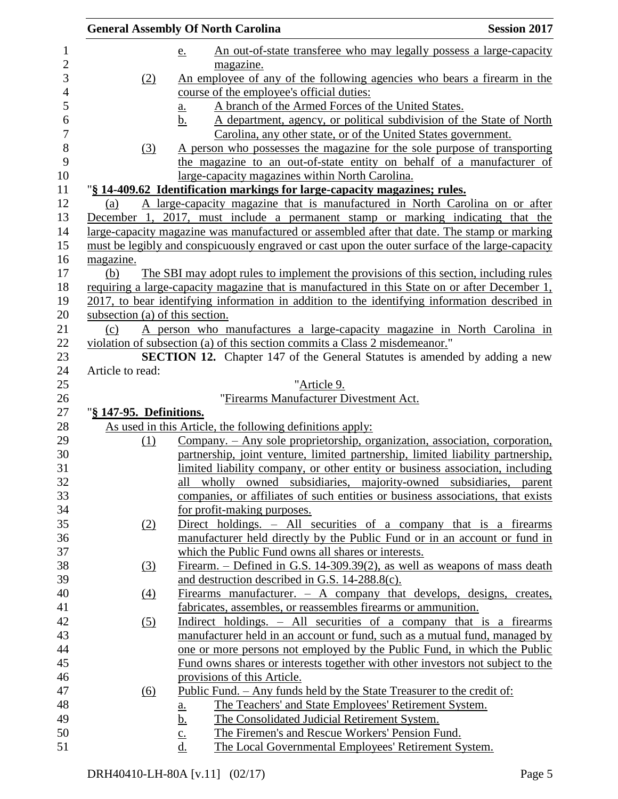|                                 | <b>General Assembly Of North Carolina</b>                                                       | <b>Session 2017</b> |
|---------------------------------|-------------------------------------------------------------------------------------------------|---------------------|
|                                 | An out-of-state transferee who may legally possess a large-capacity<br><u>e.</u>                |                     |
|                                 | magazine.                                                                                       |                     |
| (2)                             | An employee of any of the following agencies who bears a firearm in the                         |                     |
|                                 | course of the employee's official duties:                                                       |                     |
|                                 | A branch of the Armed Forces of the United States.<br><u>a.</u>                                 |                     |
|                                 | A department, agency, or political subdivision of the State of North<br>b.                      |                     |
|                                 | Carolina, any other state, or of the United States government.                                  |                     |
| (3)                             | A person who possesses the magazine for the sole purpose of transporting                        |                     |
|                                 | the magazine to an out-of-state entity on behalf of a manufacturer of                           |                     |
|                                 | large-capacity magazines within North Carolina.                                                 |                     |
|                                 | "§ 14-409.62 Identification markings for large-capacity magazines; rules.                       |                     |
| (a)                             | A large-capacity magazine that is manufactured in North Carolina on or after                    |                     |
|                                 | December 1, 2017, must include a permanent stamp or marking indicating that the                 |                     |
|                                 | large-capacity magazine was manufactured or assembled after that date. The stamp or marking     |                     |
|                                 | must be legibly and conspicuously engraved or cast upon the outer surface of the large-capacity |                     |
| magazine.                       |                                                                                                 |                     |
| (b)                             | The SBI may adopt rules to implement the provisions of this section, including rules            |                     |
|                                 | requiring a large-capacity magazine that is manufactured in this State on or after December 1,  |                     |
|                                 | 2017, to bear identifying information in addition to the identifying information described in   |                     |
| subsection (a) of this section. |                                                                                                 |                     |
| (c)                             | A person who manufactures a large-capacity magazine in North Carolina in                        |                     |
|                                 | violation of subsection (a) of this section commits a Class 2 misdemeanor."                     |                     |
|                                 | <b>SECTION 12.</b> Chapter 147 of the General Statutes is amended by adding a new               |                     |
| Article to read:                |                                                                                                 |                     |
|                                 | "Article 9.                                                                                     |                     |
|                                 | "Firearms Manufacturer Divestment Act.                                                          |                     |
| "§ 147-95. Definitions.         |                                                                                                 |                     |
|                                 | As used in this Article, the following definitions apply:                                       |                     |
| (1)                             | Company. – Any sole proprietorship, organization, association, corporation,                     |                     |
|                                 | partnership, joint venture, limited partnership, limited liability partnership,                 |                     |
|                                 | limited liability company, or other entity or business association, including                   |                     |
|                                 | all wholly owned subsidiaries, majority-owned subsidiaries, parent                              |                     |
|                                 | companies, or affiliates of such entities or business associations, that exists                 |                     |
|                                 | for profit-making purposes.                                                                     |                     |
| (2)                             | Direct holdings. - All securities of a company that is a firearms                               |                     |
|                                 | manufacturer held directly by the Public Fund or in an account or fund in                       |                     |
|                                 | which the Public Fund owns all shares or interests.                                             |                     |
| <u>(3)</u>                      | Firearm. – Defined in G.S. 14-309.39(2), as well as weapons of mass death                       |                     |
|                                 | and destruction described in G.S. 14-288.8(c).                                                  |                     |
| $\left(4\right)$                | Firearms manufacturer. $-$ A company that develops, designs, creates,                           |                     |
|                                 | fabricates, assembles, or reassembles firearms or ammunition.                                   |                     |
|                                 | <u>Indirect holdings. – All securities of a company that is a firearms</u>                      |                     |
| $\left( 5\right)$               | manufacturer held in an account or fund, such as a mutual fund, managed by                      |                     |
|                                 |                                                                                                 |                     |
|                                 | one or more persons not employed by the Public Fund, in which the Public                        |                     |
|                                 | Fund owns shares or interests together with other investors not subject to the                  |                     |
|                                 | provisions of this Article.                                                                     |                     |
| (6)                             | <u> Public Fund. – Any funds held by the State Treasurer to the credit of:</u>                  |                     |
|                                 | The Teachers' and State Employees' Retirement System.<br><u>a.</u>                              |                     |
|                                 | The Consolidated Judicial Retirement System.<br><u>b.</u>                                       |                     |
|                                 | The Firemen's and Rescue Workers' Pension Fund.<br>$\underline{\mathbf{c}}$ .                   |                     |
|                                 | d.<br>The Local Governmental Employees' Retirement System.                                      |                     |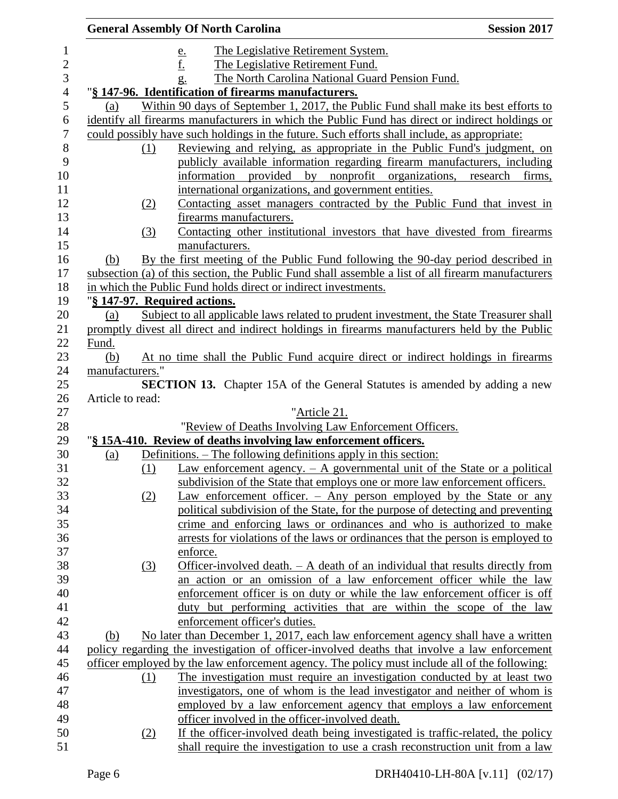|                  |     | <b>General Assembly Of North Carolina</b>                                                          | <b>Session 2017</b> |
|------------------|-----|----------------------------------------------------------------------------------------------------|---------------------|
|                  |     | The Legislative Retirement System.<br><u>e.</u>                                                    |                     |
|                  |     | The Legislative Retirement Fund.                                                                   |                     |
|                  |     | The North Carolina National Guard Pension Fund.<br>g.                                              |                     |
|                  |     | "§ 147-96. Identification of firearms manufacturers.                                               |                     |
| (a)              |     | Within 90 days of September 1, 2017, the Public Fund shall make its best efforts to                |                     |
|                  |     | identify all firearms manufacturers in which the Public Fund has direct or indirect holdings or    |                     |
|                  |     | could possibly have such holdings in the future. Such efforts shall include, as appropriate:       |                     |
|                  | (1) | Reviewing and relying, as appropriate in the Public Fund's judgment, on                            |                     |
|                  |     | publicly available information regarding firearm manufacturers, including                          |                     |
|                  |     | information provided by nonprofit organizations, research firms,                                   |                     |
|                  |     | international organizations, and government entities.                                              |                     |
|                  | (2) | Contacting asset managers contracted by the Public Fund that invest in                             |                     |
|                  |     | firearms manufacturers.                                                                            |                     |
|                  | (3) | Contacting other institutional investors that have divested from firearms                          |                     |
|                  |     | manufacturers.                                                                                     |                     |
| (b)              |     | By the first meeting of the Public Fund following the 90-day period described in                   |                     |
|                  |     | subsection (a) of this section, the Public Fund shall assemble a list of all firearm manufacturers |                     |
|                  |     | in which the Public Fund holds direct or indirect investments.                                     |                     |
|                  |     | "§ 147-97. Required actions.                                                                       |                     |
| (a)              |     | Subject to all applicable laws related to prudent investment, the State Treasurer shall            |                     |
|                  |     | promptly divest all direct and indirect holdings in firearms manufacturers held by the Public      |                     |
| Fund.            |     |                                                                                                    |                     |
| (b)              |     | At no time shall the Public Fund acquire direct or indirect holdings in firearms                   |                     |
| manufacturers."  |     |                                                                                                    |                     |
|                  |     | <b>SECTION 13.</b> Chapter 15A of the General Statutes is amended by adding a new                  |                     |
| Article to read: |     |                                                                                                    |                     |
|                  |     | "Article 21.                                                                                       |                     |
|                  |     | "Review of Deaths Involving Law Enforcement Officers.                                              |                     |
|                  |     | "§ 15A-410. Review of deaths involving law enforcement officers.                                   |                     |
| (a)              |     | Definitions. – The following definitions apply in this section:                                    |                     |
|                  | (1) | Law enforcement agency. $- A$ governmental unit of the State or a political                        |                     |
|                  |     | subdivision of the State that employs one or more law enforcement officers.                        |                     |
|                  | (2) | Law enforcement officer. $-$ Any person employed by the State or any                               |                     |
|                  |     | political subdivision of the State, for the purpose of detecting and preventing                    |                     |
|                  |     | crime and enforcing laws or ordinances and who is authorized to make                               |                     |
|                  |     | arrests for violations of the laws or ordinances that the person is employed to                    |                     |
|                  |     | enforce.                                                                                           |                     |
|                  | (3) | Officer-involved death. - A death of an individual that results directly from                      |                     |
|                  |     | an action or an omission of a law enforcement officer while the law                                |                     |
|                  |     | enforcement officer is on duty or while the law enforcement officer is off                         |                     |
|                  |     | duty but performing activities that are within the scope of the law                                |                     |
|                  |     | enforcement officer's duties.                                                                      |                     |
| (b)              |     | No later than December 1, 2017, each law enforcement agency shall have a written                   |                     |
|                  |     | policy regarding the investigation of officer-involved deaths that involve a law enforcement       |                     |
|                  |     | officer employed by the law enforcement agency. The policy must include all of the following:      |                     |
|                  | (1) | The investigation must require an investigation conducted by at least two                          |                     |
|                  |     | investigators, one of whom is the lead investigator and neither of whom is                         |                     |
|                  |     | employed by a law enforcement agency that employs a law enforcement                                |                     |
|                  |     | officer involved in the officer-involved death.                                                    |                     |
|                  | (2) | If the officer-involved death being investigated is traffic-related, the policy                    |                     |
|                  |     | shall require the investigation to use a crash reconstruction unit from a law                      |                     |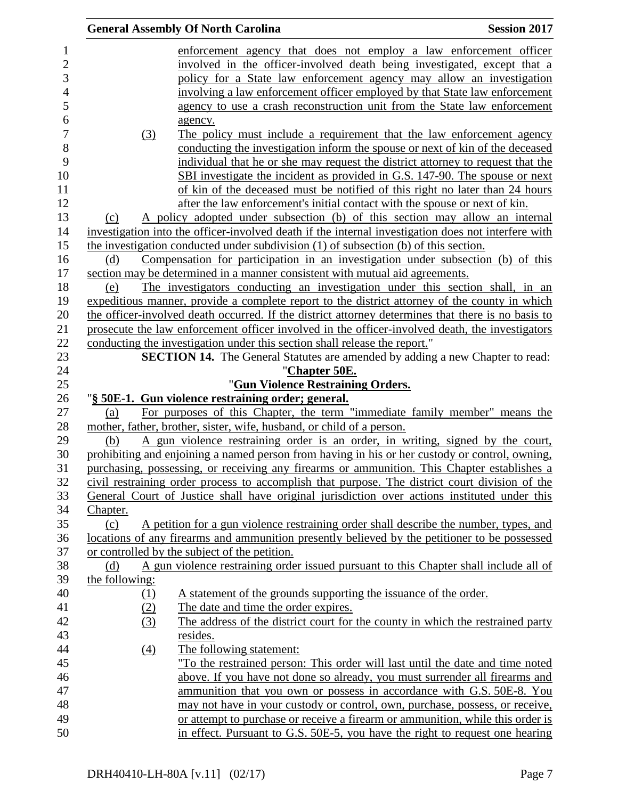|                   | <b>General Assembly Of North Carolina</b>                                                           | <b>Session 2017</b> |
|-------------------|-----------------------------------------------------------------------------------------------------|---------------------|
|                   | enforcement agency that does not employ a law enforcement officer                                   |                     |
|                   | involved in the officer-involved death being investigated, except that a                            |                     |
|                   | policy for a State law enforcement agency may allow an investigation                                |                     |
|                   | involving a law enforcement officer employed by that State law enforcement                          |                     |
|                   | agency to use a crash reconstruction unit from the State law enforcement                            |                     |
|                   | agency.                                                                                             |                     |
| (3)               | The policy must include a requirement that the law enforcement agency                               |                     |
|                   | conducting the investigation inform the spouse or next of kin of the deceased                       |                     |
|                   | individual that he or she may request the district attorney to request that the                     |                     |
|                   | SBI investigate the incident as provided in G.S. 147-90. The spouse or next                         |                     |
|                   | of kin of the deceased must be notified of this right no later than 24 hours                        |                     |
|                   | after the law enforcement's initial contact with the spouse or next of kin.                         |                     |
|                   | A policy adopted under subsection (b) of this section may allow an internal                         |                     |
| (c)               | investigation into the officer-involved death if the internal investigation does not interfere with |                     |
|                   |                                                                                                     |                     |
|                   | the investigation conducted under subdivision $(1)$ of subsection $(b)$ of this section.            |                     |
| (d)               | Compensation for participation in an investigation under subsection (b) of this                     |                     |
|                   | section may be determined in a manner consistent with mutual aid agreements.                        |                     |
| (e)               | The investigators conducting an investigation under this section shall, in an                       |                     |
|                   | expeditious manner, provide a complete report to the district attorney of the county in which       |                     |
|                   | the officer-involved death occurred. If the district attorney determines that there is no basis to  |                     |
|                   | prosecute the law enforcement officer involved in the officer-involved death, the investigators     |                     |
|                   | conducting the investigation under this section shall release the report."                          |                     |
|                   | <b>SECTION 14.</b> The General Statutes are amended by adding a new Chapter to read:                |                     |
|                   | "Chapter 50E.                                                                                       |                     |
|                   | "Gun Violence Restraining Orders.                                                                   |                     |
|                   | "§ 50E-1. Gun violence restraining order; general.                                                  |                     |
| (a)               | For purposes of this Chapter, the term "immediate family member" means the                          |                     |
|                   | mother, father, brother, sister, wife, husband, or child of a person.                               |                     |
| (b)               | A gun violence restraining order is an order, in writing, signed by the court,                      |                     |
|                   | prohibiting and enjoining a named person from having in his or her custody or control, owning,      |                     |
|                   | purchasing, possessing, or receiving any firearms or ammunition. This Chapter establishes a         |                     |
|                   | civil restraining order process to accomplish that purpose. The district court division of the      |                     |
|                   | General Court of Justice shall have original jurisdiction over actions instituted under this        |                     |
| Chapter.          |                                                                                                     |                     |
| (c)               | A petition for a gun violence restraining order shall describe the number, types, and               |                     |
|                   | locations of any firearms and ammunition presently believed by the petitioner to be possessed       |                     |
|                   | or controlled by the subject of the petition.                                                       |                     |
| (d)               | A gun violence restraining order issued pursuant to this Chapter shall include all of               |                     |
| the following:    |                                                                                                     |                     |
| <u>(1)</u>        | A statement of the grounds supporting the issuance of the order.                                    |                     |
| (2)               | The date and time the order expires.                                                                |                     |
| (3)               | The address of the district court for the county in which the restrained party                      |                     |
|                   | resides.                                                                                            |                     |
| $\underline{(4)}$ | The following statement:                                                                            |                     |
|                   | "To the restrained person: This order will last until the date and time noted                       |                     |
|                   | above. If you have not done so already, you must surrender all firearms and                         |                     |
|                   | ammunition that you own or possess in accordance with G.S. 50E-8. You                               |                     |
|                   | may not have in your custody or control, own, purchase, possess, or receive,                        |                     |
|                   | or attempt to purchase or receive a firearm or ammunition, while this order is                      |                     |
|                   | in effect. Pursuant to G.S. 50E-5, you have the right to request one hearing                        |                     |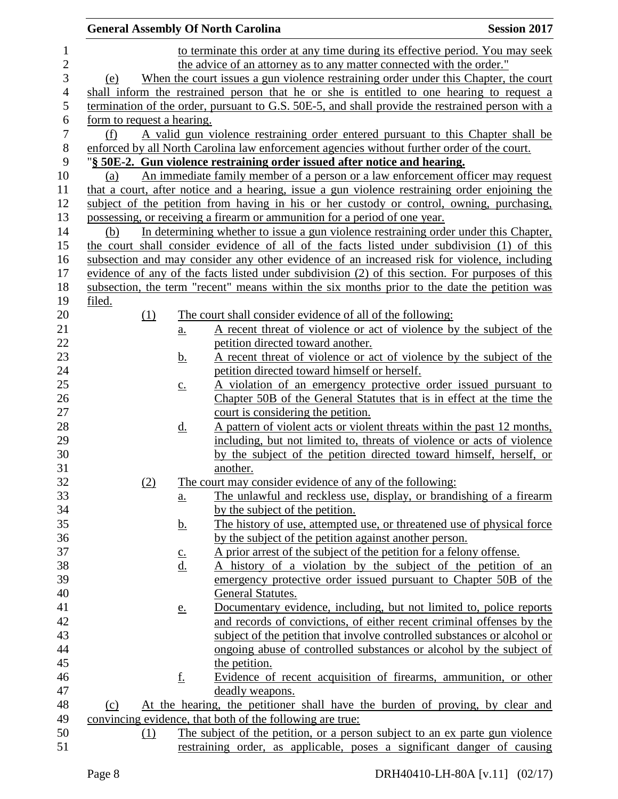| to terminate this order at any time during its effective period. You may seek<br>$\mathbf{1}$<br>$\mathbf{2}$<br>the advice of an attorney as to any matter connected with the order."<br>3<br>When the court issues a gun violence restraining order under this Chapter, the court<br>(e)<br>$\overline{4}$<br>shall inform the restrained person that he or she is entitled to one hearing to request a<br>5<br>termination of the order, pursuant to G.S. 50E-5, and shall provide the restrained person with a<br>6<br>form to request a hearing.<br>$\boldsymbol{7}$<br>A valid gun violence restraining order entered pursuant to this Chapter shall be<br>(f)<br>$\,8\,$<br>enforced by all North Carolina law enforcement agencies without further order of the court.<br>9<br>"§ 50E-2. Gun violence restraining order issued after notice and hearing.<br>10<br>An immediate family member of a person or a law enforcement officer may request<br>(a)<br>that a court, after notice and a hearing, issue a gun violence restraining order enjoining the<br>11<br>12<br>subject of the petition from having in his or her custody or control, owning, purchasing,<br>13<br>possessing, or receiving a firearm or ammunition for a period of one year.<br>In determining whether to issue a gun violence restraining order under this Chapter,<br>14<br>(b)<br>15<br>the court shall consider evidence of all of the facts listed under subdivision (1) of this<br>16<br>subsection and may consider any other evidence of an increased risk for violence, including<br>evidence of any of the facts listed under subdivision (2) of this section. For purposes of this<br>17<br>18<br>subsection, the term "recent" means within the six months prior to the date the petition was<br>19<br>filed.<br>20<br>(1)<br>The court shall consider evidence of all of the following:<br>21<br>A recent threat of violence or act of violence by the subject of the<br>a.<br>22<br>petition directed toward another.<br>23<br>A recent threat of violence or act of violence by the subject of the<br><u>b.</u><br>24<br>petition directed toward himself or herself.<br>25<br>A violation of an emergency protective order issued pursuant to<br>$\underline{c}$ .<br>26<br>Chapter 50B of the General Statutes that is in effect at the time the<br>27<br>court is considering the petition.<br>28<br>A pattern of violent acts or violent threats within the past 12 months,<br><u>d.</u><br>29<br>including, but not limited to, threats of violence or acts of violence<br>30<br>by the subject of the petition directed toward himself, herself, or<br>31<br>another.<br>32<br>(2)<br>The court may consider evidence of any of the following:<br>33<br>The unlawful and reckless use, display, or brandishing of a firearm<br>$\underline{a}$ .<br>34<br>by the subject of the petition.<br>35<br>The history of use, attempted use, or threatened use of physical force<br><u>b.</u><br>36<br>by the subject of the petition against another person.<br>37<br>A prior arrest of the subject of the petition for a felony offense.<br>$\underline{\mathbf{c}}$ .<br>d.<br>A history of a violation by the subject of the petition of an<br>39<br>emergency protective order issued pursuant to Chapter 50B of the<br>40<br>General Statutes.<br>41<br>Documentary evidence, including, but not limited to, police reports<br><u>e.</u><br>42<br>and records of convictions, of either recent criminal offenses by the<br>43<br>subject of the petition that involve controlled substances or alcohol or<br>44<br><u>ongoing</u> abuse of controlled substances or alcohol by the subject of<br>45<br>the petition.<br>46<br><u>f.</u><br>Evidence of recent acquisition of firearms, ammunition, or other<br>47<br>deadly weapons.<br>48<br>At the hearing, the petitioner shall have the burden of proving, by clear and<br>(c)<br>49<br>convincing evidence, that both of the following are true:<br>50<br>The subject of the petition, or a person subject to an ex parte gun violence<br>(1)<br>51 |  |  | <b>General Assembly Of North Carolina</b> | <b>Session 2017</b> |
|-----------------------------------------------------------------------------------------------------------------------------------------------------------------------------------------------------------------------------------------------------------------------------------------------------------------------------------------------------------------------------------------------------------------------------------------------------------------------------------------------------------------------------------------------------------------------------------------------------------------------------------------------------------------------------------------------------------------------------------------------------------------------------------------------------------------------------------------------------------------------------------------------------------------------------------------------------------------------------------------------------------------------------------------------------------------------------------------------------------------------------------------------------------------------------------------------------------------------------------------------------------------------------------------------------------------------------------------------------------------------------------------------------------------------------------------------------------------------------------------------------------------------------------------------------------------------------------------------------------------------------------------------------------------------------------------------------------------------------------------------------------------------------------------------------------------------------------------------------------------------------------------------------------------------------------------------------------------------------------------------------------------------------------------------------------------------------------------------------------------------------------------------------------------------------------------------------------------------------------------------------------------------------------------------------------------------------------------------------------------------------------------------------------------------------------------------------------------------------------------------------------------------------------------------------------------------------------------------------------------------------------------------------------------------------------------------------------------------------------------------------------------------------------------------------------------------------------------------------------------------------------------------------------------------------------------------------------------------------------------------------------------------------------------------------------------------------------------------------------------------------------------------------------------------------------------------------------------------------------------------------------------------------------------------------------------------------------------------------------------------------------------------------------------------------------------------------------------------------------------------------------------------------------------------------------------------------------------------------------------------------------------------------------------------------------------------------------------------------------------------------------------------------------------------------------------------------------------------------------------------------------------------------------------------------------------------------------------------------------------------------------------------------------------------------------------------------------------------------------------|--|--|-------------------------------------------|---------------------|
|                                                                                                                                                                                                                                                                                                                                                                                                                                                                                                                                                                                                                                                                                                                                                                                                                                                                                                                                                                                                                                                                                                                                                                                                                                                                                                                                                                                                                                                                                                                                                                                                                                                                                                                                                                                                                                                                                                                                                                                                                                                                                                                                                                                                                                                                                                                                                                                                                                                                                                                                                                                                                                                                                                                                                                                                                                                                                                                                                                                                                                                                                                                                                                                                                                                                                                                                                                                                                                                                                                                                                                                                                                                                                                                                                                                                                                                                                                                                                                                                                                                                                                                 |  |  |                                           |                     |
| restraining order, as applicable, poses a significant danger of causing                                                                                                                                                                                                                                                                                                                                                                                                                                                                                                                                                                                                                                                                                                                                                                                                                                                                                                                                                                                                                                                                                                                                                                                                                                                                                                                                                                                                                                                                                                                                                                                                                                                                                                                                                                                                                                                                                                                                                                                                                                                                                                                                                                                                                                                                                                                                                                                                                                                                                                                                                                                                                                                                                                                                                                                                                                                                                                                                                                                                                                                                                                                                                                                                                                                                                                                                                                                                                                                                                                                                                                                                                                                                                                                                                                                                                                                                                                                                                                                                                                         |  |  |                                           |                     |
|                                                                                                                                                                                                                                                                                                                                                                                                                                                                                                                                                                                                                                                                                                                                                                                                                                                                                                                                                                                                                                                                                                                                                                                                                                                                                                                                                                                                                                                                                                                                                                                                                                                                                                                                                                                                                                                                                                                                                                                                                                                                                                                                                                                                                                                                                                                                                                                                                                                                                                                                                                                                                                                                                                                                                                                                                                                                                                                                                                                                                                                                                                                                                                                                                                                                                                                                                                                                                                                                                                                                                                                                                                                                                                                                                                                                                                                                                                                                                                                                                                                                                                                 |  |  |                                           |                     |
|                                                                                                                                                                                                                                                                                                                                                                                                                                                                                                                                                                                                                                                                                                                                                                                                                                                                                                                                                                                                                                                                                                                                                                                                                                                                                                                                                                                                                                                                                                                                                                                                                                                                                                                                                                                                                                                                                                                                                                                                                                                                                                                                                                                                                                                                                                                                                                                                                                                                                                                                                                                                                                                                                                                                                                                                                                                                                                                                                                                                                                                                                                                                                                                                                                                                                                                                                                                                                                                                                                                                                                                                                                                                                                                                                                                                                                                                                                                                                                                                                                                                                                                 |  |  |                                           |                     |
|                                                                                                                                                                                                                                                                                                                                                                                                                                                                                                                                                                                                                                                                                                                                                                                                                                                                                                                                                                                                                                                                                                                                                                                                                                                                                                                                                                                                                                                                                                                                                                                                                                                                                                                                                                                                                                                                                                                                                                                                                                                                                                                                                                                                                                                                                                                                                                                                                                                                                                                                                                                                                                                                                                                                                                                                                                                                                                                                                                                                                                                                                                                                                                                                                                                                                                                                                                                                                                                                                                                                                                                                                                                                                                                                                                                                                                                                                                                                                                                                                                                                                                                 |  |  |                                           |                     |
|                                                                                                                                                                                                                                                                                                                                                                                                                                                                                                                                                                                                                                                                                                                                                                                                                                                                                                                                                                                                                                                                                                                                                                                                                                                                                                                                                                                                                                                                                                                                                                                                                                                                                                                                                                                                                                                                                                                                                                                                                                                                                                                                                                                                                                                                                                                                                                                                                                                                                                                                                                                                                                                                                                                                                                                                                                                                                                                                                                                                                                                                                                                                                                                                                                                                                                                                                                                                                                                                                                                                                                                                                                                                                                                                                                                                                                                                                                                                                                                                                                                                                                                 |  |  |                                           |                     |
|                                                                                                                                                                                                                                                                                                                                                                                                                                                                                                                                                                                                                                                                                                                                                                                                                                                                                                                                                                                                                                                                                                                                                                                                                                                                                                                                                                                                                                                                                                                                                                                                                                                                                                                                                                                                                                                                                                                                                                                                                                                                                                                                                                                                                                                                                                                                                                                                                                                                                                                                                                                                                                                                                                                                                                                                                                                                                                                                                                                                                                                                                                                                                                                                                                                                                                                                                                                                                                                                                                                                                                                                                                                                                                                                                                                                                                                                                                                                                                                                                                                                                                                 |  |  |                                           |                     |
|                                                                                                                                                                                                                                                                                                                                                                                                                                                                                                                                                                                                                                                                                                                                                                                                                                                                                                                                                                                                                                                                                                                                                                                                                                                                                                                                                                                                                                                                                                                                                                                                                                                                                                                                                                                                                                                                                                                                                                                                                                                                                                                                                                                                                                                                                                                                                                                                                                                                                                                                                                                                                                                                                                                                                                                                                                                                                                                                                                                                                                                                                                                                                                                                                                                                                                                                                                                                                                                                                                                                                                                                                                                                                                                                                                                                                                                                                                                                                                                                                                                                                                                 |  |  |                                           |                     |
|                                                                                                                                                                                                                                                                                                                                                                                                                                                                                                                                                                                                                                                                                                                                                                                                                                                                                                                                                                                                                                                                                                                                                                                                                                                                                                                                                                                                                                                                                                                                                                                                                                                                                                                                                                                                                                                                                                                                                                                                                                                                                                                                                                                                                                                                                                                                                                                                                                                                                                                                                                                                                                                                                                                                                                                                                                                                                                                                                                                                                                                                                                                                                                                                                                                                                                                                                                                                                                                                                                                                                                                                                                                                                                                                                                                                                                                                                                                                                                                                                                                                                                                 |  |  |                                           |                     |
|                                                                                                                                                                                                                                                                                                                                                                                                                                                                                                                                                                                                                                                                                                                                                                                                                                                                                                                                                                                                                                                                                                                                                                                                                                                                                                                                                                                                                                                                                                                                                                                                                                                                                                                                                                                                                                                                                                                                                                                                                                                                                                                                                                                                                                                                                                                                                                                                                                                                                                                                                                                                                                                                                                                                                                                                                                                                                                                                                                                                                                                                                                                                                                                                                                                                                                                                                                                                                                                                                                                                                                                                                                                                                                                                                                                                                                                                                                                                                                                                                                                                                                                 |  |  |                                           |                     |
|                                                                                                                                                                                                                                                                                                                                                                                                                                                                                                                                                                                                                                                                                                                                                                                                                                                                                                                                                                                                                                                                                                                                                                                                                                                                                                                                                                                                                                                                                                                                                                                                                                                                                                                                                                                                                                                                                                                                                                                                                                                                                                                                                                                                                                                                                                                                                                                                                                                                                                                                                                                                                                                                                                                                                                                                                                                                                                                                                                                                                                                                                                                                                                                                                                                                                                                                                                                                                                                                                                                                                                                                                                                                                                                                                                                                                                                                                                                                                                                                                                                                                                                 |  |  |                                           |                     |
|                                                                                                                                                                                                                                                                                                                                                                                                                                                                                                                                                                                                                                                                                                                                                                                                                                                                                                                                                                                                                                                                                                                                                                                                                                                                                                                                                                                                                                                                                                                                                                                                                                                                                                                                                                                                                                                                                                                                                                                                                                                                                                                                                                                                                                                                                                                                                                                                                                                                                                                                                                                                                                                                                                                                                                                                                                                                                                                                                                                                                                                                                                                                                                                                                                                                                                                                                                                                                                                                                                                                                                                                                                                                                                                                                                                                                                                                                                                                                                                                                                                                                                                 |  |  |                                           |                     |
|                                                                                                                                                                                                                                                                                                                                                                                                                                                                                                                                                                                                                                                                                                                                                                                                                                                                                                                                                                                                                                                                                                                                                                                                                                                                                                                                                                                                                                                                                                                                                                                                                                                                                                                                                                                                                                                                                                                                                                                                                                                                                                                                                                                                                                                                                                                                                                                                                                                                                                                                                                                                                                                                                                                                                                                                                                                                                                                                                                                                                                                                                                                                                                                                                                                                                                                                                                                                                                                                                                                                                                                                                                                                                                                                                                                                                                                                                                                                                                                                                                                                                                                 |  |  |                                           |                     |
|                                                                                                                                                                                                                                                                                                                                                                                                                                                                                                                                                                                                                                                                                                                                                                                                                                                                                                                                                                                                                                                                                                                                                                                                                                                                                                                                                                                                                                                                                                                                                                                                                                                                                                                                                                                                                                                                                                                                                                                                                                                                                                                                                                                                                                                                                                                                                                                                                                                                                                                                                                                                                                                                                                                                                                                                                                                                                                                                                                                                                                                                                                                                                                                                                                                                                                                                                                                                                                                                                                                                                                                                                                                                                                                                                                                                                                                                                                                                                                                                                                                                                                                 |  |  |                                           |                     |
|                                                                                                                                                                                                                                                                                                                                                                                                                                                                                                                                                                                                                                                                                                                                                                                                                                                                                                                                                                                                                                                                                                                                                                                                                                                                                                                                                                                                                                                                                                                                                                                                                                                                                                                                                                                                                                                                                                                                                                                                                                                                                                                                                                                                                                                                                                                                                                                                                                                                                                                                                                                                                                                                                                                                                                                                                                                                                                                                                                                                                                                                                                                                                                                                                                                                                                                                                                                                                                                                                                                                                                                                                                                                                                                                                                                                                                                                                                                                                                                                                                                                                                                 |  |  |                                           |                     |
|                                                                                                                                                                                                                                                                                                                                                                                                                                                                                                                                                                                                                                                                                                                                                                                                                                                                                                                                                                                                                                                                                                                                                                                                                                                                                                                                                                                                                                                                                                                                                                                                                                                                                                                                                                                                                                                                                                                                                                                                                                                                                                                                                                                                                                                                                                                                                                                                                                                                                                                                                                                                                                                                                                                                                                                                                                                                                                                                                                                                                                                                                                                                                                                                                                                                                                                                                                                                                                                                                                                                                                                                                                                                                                                                                                                                                                                                                                                                                                                                                                                                                                                 |  |  |                                           |                     |
|                                                                                                                                                                                                                                                                                                                                                                                                                                                                                                                                                                                                                                                                                                                                                                                                                                                                                                                                                                                                                                                                                                                                                                                                                                                                                                                                                                                                                                                                                                                                                                                                                                                                                                                                                                                                                                                                                                                                                                                                                                                                                                                                                                                                                                                                                                                                                                                                                                                                                                                                                                                                                                                                                                                                                                                                                                                                                                                                                                                                                                                                                                                                                                                                                                                                                                                                                                                                                                                                                                                                                                                                                                                                                                                                                                                                                                                                                                                                                                                                                                                                                                                 |  |  |                                           |                     |
|                                                                                                                                                                                                                                                                                                                                                                                                                                                                                                                                                                                                                                                                                                                                                                                                                                                                                                                                                                                                                                                                                                                                                                                                                                                                                                                                                                                                                                                                                                                                                                                                                                                                                                                                                                                                                                                                                                                                                                                                                                                                                                                                                                                                                                                                                                                                                                                                                                                                                                                                                                                                                                                                                                                                                                                                                                                                                                                                                                                                                                                                                                                                                                                                                                                                                                                                                                                                                                                                                                                                                                                                                                                                                                                                                                                                                                                                                                                                                                                                                                                                                                                 |  |  |                                           |                     |
|                                                                                                                                                                                                                                                                                                                                                                                                                                                                                                                                                                                                                                                                                                                                                                                                                                                                                                                                                                                                                                                                                                                                                                                                                                                                                                                                                                                                                                                                                                                                                                                                                                                                                                                                                                                                                                                                                                                                                                                                                                                                                                                                                                                                                                                                                                                                                                                                                                                                                                                                                                                                                                                                                                                                                                                                                                                                                                                                                                                                                                                                                                                                                                                                                                                                                                                                                                                                                                                                                                                                                                                                                                                                                                                                                                                                                                                                                                                                                                                                                                                                                                                 |  |  |                                           |                     |
|                                                                                                                                                                                                                                                                                                                                                                                                                                                                                                                                                                                                                                                                                                                                                                                                                                                                                                                                                                                                                                                                                                                                                                                                                                                                                                                                                                                                                                                                                                                                                                                                                                                                                                                                                                                                                                                                                                                                                                                                                                                                                                                                                                                                                                                                                                                                                                                                                                                                                                                                                                                                                                                                                                                                                                                                                                                                                                                                                                                                                                                                                                                                                                                                                                                                                                                                                                                                                                                                                                                                                                                                                                                                                                                                                                                                                                                                                                                                                                                                                                                                                                                 |  |  |                                           |                     |
|                                                                                                                                                                                                                                                                                                                                                                                                                                                                                                                                                                                                                                                                                                                                                                                                                                                                                                                                                                                                                                                                                                                                                                                                                                                                                                                                                                                                                                                                                                                                                                                                                                                                                                                                                                                                                                                                                                                                                                                                                                                                                                                                                                                                                                                                                                                                                                                                                                                                                                                                                                                                                                                                                                                                                                                                                                                                                                                                                                                                                                                                                                                                                                                                                                                                                                                                                                                                                                                                                                                                                                                                                                                                                                                                                                                                                                                                                                                                                                                                                                                                                                                 |  |  |                                           |                     |
|                                                                                                                                                                                                                                                                                                                                                                                                                                                                                                                                                                                                                                                                                                                                                                                                                                                                                                                                                                                                                                                                                                                                                                                                                                                                                                                                                                                                                                                                                                                                                                                                                                                                                                                                                                                                                                                                                                                                                                                                                                                                                                                                                                                                                                                                                                                                                                                                                                                                                                                                                                                                                                                                                                                                                                                                                                                                                                                                                                                                                                                                                                                                                                                                                                                                                                                                                                                                                                                                                                                                                                                                                                                                                                                                                                                                                                                                                                                                                                                                                                                                                                                 |  |  |                                           |                     |
|                                                                                                                                                                                                                                                                                                                                                                                                                                                                                                                                                                                                                                                                                                                                                                                                                                                                                                                                                                                                                                                                                                                                                                                                                                                                                                                                                                                                                                                                                                                                                                                                                                                                                                                                                                                                                                                                                                                                                                                                                                                                                                                                                                                                                                                                                                                                                                                                                                                                                                                                                                                                                                                                                                                                                                                                                                                                                                                                                                                                                                                                                                                                                                                                                                                                                                                                                                                                                                                                                                                                                                                                                                                                                                                                                                                                                                                                                                                                                                                                                                                                                                                 |  |  |                                           |                     |
|                                                                                                                                                                                                                                                                                                                                                                                                                                                                                                                                                                                                                                                                                                                                                                                                                                                                                                                                                                                                                                                                                                                                                                                                                                                                                                                                                                                                                                                                                                                                                                                                                                                                                                                                                                                                                                                                                                                                                                                                                                                                                                                                                                                                                                                                                                                                                                                                                                                                                                                                                                                                                                                                                                                                                                                                                                                                                                                                                                                                                                                                                                                                                                                                                                                                                                                                                                                                                                                                                                                                                                                                                                                                                                                                                                                                                                                                                                                                                                                                                                                                                                                 |  |  |                                           |                     |
|                                                                                                                                                                                                                                                                                                                                                                                                                                                                                                                                                                                                                                                                                                                                                                                                                                                                                                                                                                                                                                                                                                                                                                                                                                                                                                                                                                                                                                                                                                                                                                                                                                                                                                                                                                                                                                                                                                                                                                                                                                                                                                                                                                                                                                                                                                                                                                                                                                                                                                                                                                                                                                                                                                                                                                                                                                                                                                                                                                                                                                                                                                                                                                                                                                                                                                                                                                                                                                                                                                                                                                                                                                                                                                                                                                                                                                                                                                                                                                                                                                                                                                                 |  |  |                                           |                     |
|                                                                                                                                                                                                                                                                                                                                                                                                                                                                                                                                                                                                                                                                                                                                                                                                                                                                                                                                                                                                                                                                                                                                                                                                                                                                                                                                                                                                                                                                                                                                                                                                                                                                                                                                                                                                                                                                                                                                                                                                                                                                                                                                                                                                                                                                                                                                                                                                                                                                                                                                                                                                                                                                                                                                                                                                                                                                                                                                                                                                                                                                                                                                                                                                                                                                                                                                                                                                                                                                                                                                                                                                                                                                                                                                                                                                                                                                                                                                                                                                                                                                                                                 |  |  |                                           |                     |
|                                                                                                                                                                                                                                                                                                                                                                                                                                                                                                                                                                                                                                                                                                                                                                                                                                                                                                                                                                                                                                                                                                                                                                                                                                                                                                                                                                                                                                                                                                                                                                                                                                                                                                                                                                                                                                                                                                                                                                                                                                                                                                                                                                                                                                                                                                                                                                                                                                                                                                                                                                                                                                                                                                                                                                                                                                                                                                                                                                                                                                                                                                                                                                                                                                                                                                                                                                                                                                                                                                                                                                                                                                                                                                                                                                                                                                                                                                                                                                                                                                                                                                                 |  |  |                                           |                     |
| 38                                                                                                                                                                                                                                                                                                                                                                                                                                                                                                                                                                                                                                                                                                                                                                                                                                                                                                                                                                                                                                                                                                                                                                                                                                                                                                                                                                                                                                                                                                                                                                                                                                                                                                                                                                                                                                                                                                                                                                                                                                                                                                                                                                                                                                                                                                                                                                                                                                                                                                                                                                                                                                                                                                                                                                                                                                                                                                                                                                                                                                                                                                                                                                                                                                                                                                                                                                                                                                                                                                                                                                                                                                                                                                                                                                                                                                                                                                                                                                                                                                                                                                              |  |  |                                           |                     |
|                                                                                                                                                                                                                                                                                                                                                                                                                                                                                                                                                                                                                                                                                                                                                                                                                                                                                                                                                                                                                                                                                                                                                                                                                                                                                                                                                                                                                                                                                                                                                                                                                                                                                                                                                                                                                                                                                                                                                                                                                                                                                                                                                                                                                                                                                                                                                                                                                                                                                                                                                                                                                                                                                                                                                                                                                                                                                                                                                                                                                                                                                                                                                                                                                                                                                                                                                                                                                                                                                                                                                                                                                                                                                                                                                                                                                                                                                                                                                                                                                                                                                                                 |  |  |                                           |                     |
|                                                                                                                                                                                                                                                                                                                                                                                                                                                                                                                                                                                                                                                                                                                                                                                                                                                                                                                                                                                                                                                                                                                                                                                                                                                                                                                                                                                                                                                                                                                                                                                                                                                                                                                                                                                                                                                                                                                                                                                                                                                                                                                                                                                                                                                                                                                                                                                                                                                                                                                                                                                                                                                                                                                                                                                                                                                                                                                                                                                                                                                                                                                                                                                                                                                                                                                                                                                                                                                                                                                                                                                                                                                                                                                                                                                                                                                                                                                                                                                                                                                                                                                 |  |  |                                           |                     |
|                                                                                                                                                                                                                                                                                                                                                                                                                                                                                                                                                                                                                                                                                                                                                                                                                                                                                                                                                                                                                                                                                                                                                                                                                                                                                                                                                                                                                                                                                                                                                                                                                                                                                                                                                                                                                                                                                                                                                                                                                                                                                                                                                                                                                                                                                                                                                                                                                                                                                                                                                                                                                                                                                                                                                                                                                                                                                                                                                                                                                                                                                                                                                                                                                                                                                                                                                                                                                                                                                                                                                                                                                                                                                                                                                                                                                                                                                                                                                                                                                                                                                                                 |  |  |                                           |                     |
|                                                                                                                                                                                                                                                                                                                                                                                                                                                                                                                                                                                                                                                                                                                                                                                                                                                                                                                                                                                                                                                                                                                                                                                                                                                                                                                                                                                                                                                                                                                                                                                                                                                                                                                                                                                                                                                                                                                                                                                                                                                                                                                                                                                                                                                                                                                                                                                                                                                                                                                                                                                                                                                                                                                                                                                                                                                                                                                                                                                                                                                                                                                                                                                                                                                                                                                                                                                                                                                                                                                                                                                                                                                                                                                                                                                                                                                                                                                                                                                                                                                                                                                 |  |  |                                           |                     |
|                                                                                                                                                                                                                                                                                                                                                                                                                                                                                                                                                                                                                                                                                                                                                                                                                                                                                                                                                                                                                                                                                                                                                                                                                                                                                                                                                                                                                                                                                                                                                                                                                                                                                                                                                                                                                                                                                                                                                                                                                                                                                                                                                                                                                                                                                                                                                                                                                                                                                                                                                                                                                                                                                                                                                                                                                                                                                                                                                                                                                                                                                                                                                                                                                                                                                                                                                                                                                                                                                                                                                                                                                                                                                                                                                                                                                                                                                                                                                                                                                                                                                                                 |  |  |                                           |                     |
|                                                                                                                                                                                                                                                                                                                                                                                                                                                                                                                                                                                                                                                                                                                                                                                                                                                                                                                                                                                                                                                                                                                                                                                                                                                                                                                                                                                                                                                                                                                                                                                                                                                                                                                                                                                                                                                                                                                                                                                                                                                                                                                                                                                                                                                                                                                                                                                                                                                                                                                                                                                                                                                                                                                                                                                                                                                                                                                                                                                                                                                                                                                                                                                                                                                                                                                                                                                                                                                                                                                                                                                                                                                                                                                                                                                                                                                                                                                                                                                                                                                                                                                 |  |  |                                           |                     |
|                                                                                                                                                                                                                                                                                                                                                                                                                                                                                                                                                                                                                                                                                                                                                                                                                                                                                                                                                                                                                                                                                                                                                                                                                                                                                                                                                                                                                                                                                                                                                                                                                                                                                                                                                                                                                                                                                                                                                                                                                                                                                                                                                                                                                                                                                                                                                                                                                                                                                                                                                                                                                                                                                                                                                                                                                                                                                                                                                                                                                                                                                                                                                                                                                                                                                                                                                                                                                                                                                                                                                                                                                                                                                                                                                                                                                                                                                                                                                                                                                                                                                                                 |  |  |                                           |                     |
|                                                                                                                                                                                                                                                                                                                                                                                                                                                                                                                                                                                                                                                                                                                                                                                                                                                                                                                                                                                                                                                                                                                                                                                                                                                                                                                                                                                                                                                                                                                                                                                                                                                                                                                                                                                                                                                                                                                                                                                                                                                                                                                                                                                                                                                                                                                                                                                                                                                                                                                                                                                                                                                                                                                                                                                                                                                                                                                                                                                                                                                                                                                                                                                                                                                                                                                                                                                                                                                                                                                                                                                                                                                                                                                                                                                                                                                                                                                                                                                                                                                                                                                 |  |  |                                           |                     |
|                                                                                                                                                                                                                                                                                                                                                                                                                                                                                                                                                                                                                                                                                                                                                                                                                                                                                                                                                                                                                                                                                                                                                                                                                                                                                                                                                                                                                                                                                                                                                                                                                                                                                                                                                                                                                                                                                                                                                                                                                                                                                                                                                                                                                                                                                                                                                                                                                                                                                                                                                                                                                                                                                                                                                                                                                                                                                                                                                                                                                                                                                                                                                                                                                                                                                                                                                                                                                                                                                                                                                                                                                                                                                                                                                                                                                                                                                                                                                                                                                                                                                                                 |  |  |                                           |                     |
|                                                                                                                                                                                                                                                                                                                                                                                                                                                                                                                                                                                                                                                                                                                                                                                                                                                                                                                                                                                                                                                                                                                                                                                                                                                                                                                                                                                                                                                                                                                                                                                                                                                                                                                                                                                                                                                                                                                                                                                                                                                                                                                                                                                                                                                                                                                                                                                                                                                                                                                                                                                                                                                                                                                                                                                                                                                                                                                                                                                                                                                                                                                                                                                                                                                                                                                                                                                                                                                                                                                                                                                                                                                                                                                                                                                                                                                                                                                                                                                                                                                                                                                 |  |  |                                           |                     |
|                                                                                                                                                                                                                                                                                                                                                                                                                                                                                                                                                                                                                                                                                                                                                                                                                                                                                                                                                                                                                                                                                                                                                                                                                                                                                                                                                                                                                                                                                                                                                                                                                                                                                                                                                                                                                                                                                                                                                                                                                                                                                                                                                                                                                                                                                                                                                                                                                                                                                                                                                                                                                                                                                                                                                                                                                                                                                                                                                                                                                                                                                                                                                                                                                                                                                                                                                                                                                                                                                                                                                                                                                                                                                                                                                                                                                                                                                                                                                                                                                                                                                                                 |  |  |                                           |                     |
|                                                                                                                                                                                                                                                                                                                                                                                                                                                                                                                                                                                                                                                                                                                                                                                                                                                                                                                                                                                                                                                                                                                                                                                                                                                                                                                                                                                                                                                                                                                                                                                                                                                                                                                                                                                                                                                                                                                                                                                                                                                                                                                                                                                                                                                                                                                                                                                                                                                                                                                                                                                                                                                                                                                                                                                                                                                                                                                                                                                                                                                                                                                                                                                                                                                                                                                                                                                                                                                                                                                                                                                                                                                                                                                                                                                                                                                                                                                                                                                                                                                                                                                 |  |  |                                           |                     |
|                                                                                                                                                                                                                                                                                                                                                                                                                                                                                                                                                                                                                                                                                                                                                                                                                                                                                                                                                                                                                                                                                                                                                                                                                                                                                                                                                                                                                                                                                                                                                                                                                                                                                                                                                                                                                                                                                                                                                                                                                                                                                                                                                                                                                                                                                                                                                                                                                                                                                                                                                                                                                                                                                                                                                                                                                                                                                                                                                                                                                                                                                                                                                                                                                                                                                                                                                                                                                                                                                                                                                                                                                                                                                                                                                                                                                                                                                                                                                                                                                                                                                                                 |  |  |                                           |                     |
|                                                                                                                                                                                                                                                                                                                                                                                                                                                                                                                                                                                                                                                                                                                                                                                                                                                                                                                                                                                                                                                                                                                                                                                                                                                                                                                                                                                                                                                                                                                                                                                                                                                                                                                                                                                                                                                                                                                                                                                                                                                                                                                                                                                                                                                                                                                                                                                                                                                                                                                                                                                                                                                                                                                                                                                                                                                                                                                                                                                                                                                                                                                                                                                                                                                                                                                                                                                                                                                                                                                                                                                                                                                                                                                                                                                                                                                                                                                                                                                                                                                                                                                 |  |  |                                           |                     |
|                                                                                                                                                                                                                                                                                                                                                                                                                                                                                                                                                                                                                                                                                                                                                                                                                                                                                                                                                                                                                                                                                                                                                                                                                                                                                                                                                                                                                                                                                                                                                                                                                                                                                                                                                                                                                                                                                                                                                                                                                                                                                                                                                                                                                                                                                                                                                                                                                                                                                                                                                                                                                                                                                                                                                                                                                                                                                                                                                                                                                                                                                                                                                                                                                                                                                                                                                                                                                                                                                                                                                                                                                                                                                                                                                                                                                                                                                                                                                                                                                                                                                                                 |  |  |                                           |                     |
|                                                                                                                                                                                                                                                                                                                                                                                                                                                                                                                                                                                                                                                                                                                                                                                                                                                                                                                                                                                                                                                                                                                                                                                                                                                                                                                                                                                                                                                                                                                                                                                                                                                                                                                                                                                                                                                                                                                                                                                                                                                                                                                                                                                                                                                                                                                                                                                                                                                                                                                                                                                                                                                                                                                                                                                                                                                                                                                                                                                                                                                                                                                                                                                                                                                                                                                                                                                                                                                                                                                                                                                                                                                                                                                                                                                                                                                                                                                                                                                                                                                                                                                 |  |  |                                           |                     |
|                                                                                                                                                                                                                                                                                                                                                                                                                                                                                                                                                                                                                                                                                                                                                                                                                                                                                                                                                                                                                                                                                                                                                                                                                                                                                                                                                                                                                                                                                                                                                                                                                                                                                                                                                                                                                                                                                                                                                                                                                                                                                                                                                                                                                                                                                                                                                                                                                                                                                                                                                                                                                                                                                                                                                                                                                                                                                                                                                                                                                                                                                                                                                                                                                                                                                                                                                                                                                                                                                                                                                                                                                                                                                                                                                                                                                                                                                                                                                                                                                                                                                                                 |  |  |                                           |                     |
|                                                                                                                                                                                                                                                                                                                                                                                                                                                                                                                                                                                                                                                                                                                                                                                                                                                                                                                                                                                                                                                                                                                                                                                                                                                                                                                                                                                                                                                                                                                                                                                                                                                                                                                                                                                                                                                                                                                                                                                                                                                                                                                                                                                                                                                                                                                                                                                                                                                                                                                                                                                                                                                                                                                                                                                                                                                                                                                                                                                                                                                                                                                                                                                                                                                                                                                                                                                                                                                                                                                                                                                                                                                                                                                                                                                                                                                                                                                                                                                                                                                                                                                 |  |  |                                           |                     |
|                                                                                                                                                                                                                                                                                                                                                                                                                                                                                                                                                                                                                                                                                                                                                                                                                                                                                                                                                                                                                                                                                                                                                                                                                                                                                                                                                                                                                                                                                                                                                                                                                                                                                                                                                                                                                                                                                                                                                                                                                                                                                                                                                                                                                                                                                                                                                                                                                                                                                                                                                                                                                                                                                                                                                                                                                                                                                                                                                                                                                                                                                                                                                                                                                                                                                                                                                                                                                                                                                                                                                                                                                                                                                                                                                                                                                                                                                                                                                                                                                                                                                                                 |  |  |                                           |                     |
|                                                                                                                                                                                                                                                                                                                                                                                                                                                                                                                                                                                                                                                                                                                                                                                                                                                                                                                                                                                                                                                                                                                                                                                                                                                                                                                                                                                                                                                                                                                                                                                                                                                                                                                                                                                                                                                                                                                                                                                                                                                                                                                                                                                                                                                                                                                                                                                                                                                                                                                                                                                                                                                                                                                                                                                                                                                                                                                                                                                                                                                                                                                                                                                                                                                                                                                                                                                                                                                                                                                                                                                                                                                                                                                                                                                                                                                                                                                                                                                                                                                                                                                 |  |  |                                           |                     |
|                                                                                                                                                                                                                                                                                                                                                                                                                                                                                                                                                                                                                                                                                                                                                                                                                                                                                                                                                                                                                                                                                                                                                                                                                                                                                                                                                                                                                                                                                                                                                                                                                                                                                                                                                                                                                                                                                                                                                                                                                                                                                                                                                                                                                                                                                                                                                                                                                                                                                                                                                                                                                                                                                                                                                                                                                                                                                                                                                                                                                                                                                                                                                                                                                                                                                                                                                                                                                                                                                                                                                                                                                                                                                                                                                                                                                                                                                                                                                                                                                                                                                                                 |  |  |                                           |                     |
|                                                                                                                                                                                                                                                                                                                                                                                                                                                                                                                                                                                                                                                                                                                                                                                                                                                                                                                                                                                                                                                                                                                                                                                                                                                                                                                                                                                                                                                                                                                                                                                                                                                                                                                                                                                                                                                                                                                                                                                                                                                                                                                                                                                                                                                                                                                                                                                                                                                                                                                                                                                                                                                                                                                                                                                                                                                                                                                                                                                                                                                                                                                                                                                                                                                                                                                                                                                                                                                                                                                                                                                                                                                                                                                                                                                                                                                                                                                                                                                                                                                                                                                 |  |  |                                           |                     |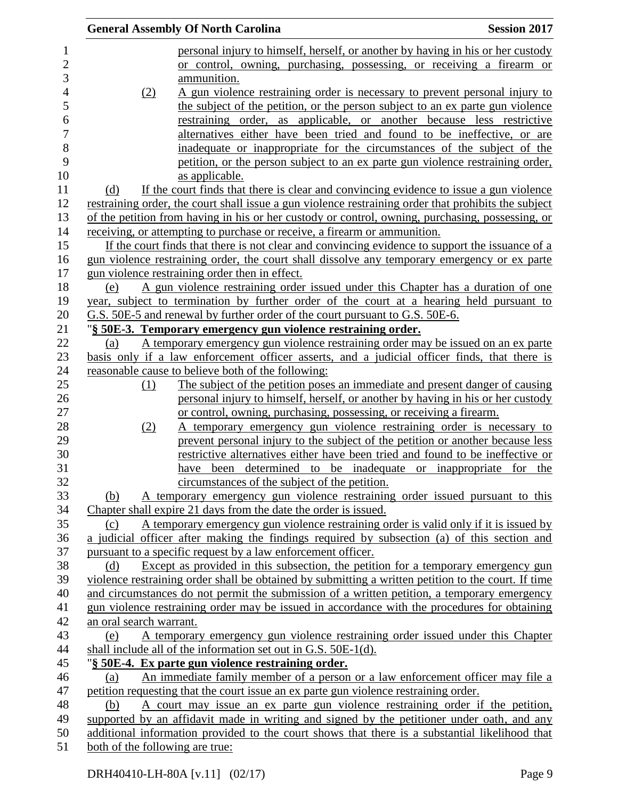|                |                                 | <b>General Assembly Of North Carolina</b>                                                                                                        | <b>Session 2017</b> |
|----------------|---------------------------------|--------------------------------------------------------------------------------------------------------------------------------------------------|---------------------|
|                |                                 | personal injury to himself, herself, or another by having in his or her custody                                                                  |                     |
| $\overline{c}$ |                                 | or control, owning, purchasing, possessing, or receiving a firearm or                                                                            |                     |
| 3              |                                 | ammunition.                                                                                                                                      |                     |
|                | (2)                             | A gun violence restraining order is necessary to prevent personal injury to                                                                      |                     |
|                |                                 | the subject of the petition, or the person subject to an ex parte gun violence                                                                   |                     |
| 6              |                                 | restraining order, as applicable, or another because less restrictive                                                                            |                     |
|                |                                 | alternatives either have been tried and found to be ineffective, or are                                                                          |                     |
| 8              |                                 | inadequate or inappropriate for the circumstances of the subject of the                                                                          |                     |
|                |                                 | petition, or the person subject to an ex parte gun violence restraining order,                                                                   |                     |
|                |                                 | as applicable.                                                                                                                                   |                     |
|                | (d)                             | If the court finds that there is clear and convincing evidence to issue a gun violence                                                           |                     |
|                |                                 | restraining order, the court shall issue a gun violence restraining order that prohibits the subject                                             |                     |
|                |                                 | of the petition from having in his or her custody or control, owning, purchasing, possessing, or                                                 |                     |
|                |                                 | receiving, or attempting to purchase or receive, a firearm or ammunition.                                                                        |                     |
|                |                                 | If the court finds that there is not clear and convincing evidence to support the issuance of a                                                  |                     |
|                |                                 | gun violence restraining order, the court shall dissolve any temporary emergency or ex parte                                                     |                     |
|                |                                 | gun violence restraining order then in effect.                                                                                                   |                     |
|                | (e)                             | A gun violence restraining order issued under this Chapter has a duration of one                                                                 |                     |
|                |                                 | year, subject to termination by further order of the court at a hearing held pursuant to                                                         |                     |
|                |                                 | G.S. 50E-5 and renewal by further order of the court pursuant to G.S. 50E-6.                                                                     |                     |
|                |                                 | "§ 50E-3. Temporary emergency gun violence restraining order.                                                                                    |                     |
|                | (a)                             | A temporary emergency gun violence restraining order may be issued on an ex parte                                                                |                     |
|                |                                 | basis only if a law enforcement officer asserts, and a judicial officer finds, that there is                                                     |                     |
|                |                                 | reasonable cause to believe both of the following:                                                                                               |                     |
|                | (1)                             | The subject of the petition poses an immediate and present danger of causing                                                                     |                     |
|                |                                 | personal injury to himself, herself, or another by having in his or her custody                                                                  |                     |
|                |                                 | or control, owning, purchasing, possessing, or receiving a firearm.                                                                              |                     |
|                | (2)                             | A temporary emergency gun violence restraining order is necessary to                                                                             |                     |
|                |                                 | prevent personal injury to the subject of the petition or another because less                                                                   |                     |
|                |                                 | restrictive alternatives either have been tried and found to be ineffective or                                                                   |                     |
|                |                                 | have been determined to be inadequate or inappropriate for the                                                                                   |                     |
|                |                                 | circumstances of the subject of the petition.                                                                                                    |                     |
|                | (b)                             | A temporary emergency gun violence restraining order issued pursuant to this                                                                     |                     |
|                |                                 | Chapter shall expire 21 days from the date the order is issued.                                                                                  |                     |
|                | (c)                             | A temporary emergency gun violence restraining order is valid only if it is issued by                                                            |                     |
|                |                                 | a judicial officer after making the findings required by subsection (a) of this section and                                                      |                     |
|                |                                 | pursuant to a specific request by a law enforcement officer.                                                                                     |                     |
|                | (d)                             | Except as provided in this subsection, the petition for a temporary emergency gun                                                                |                     |
|                |                                 | violence restraining order shall be obtained by submitting a written petition to the court. If time                                              |                     |
|                |                                 | and circumstances do not permit the submission of a written petition, a temporary emergency                                                      |                     |
|                | an oral search warrant.         | gun violence restraining order may be issued in accordance with the procedures for obtaining                                                     |                     |
|                | (e)                             |                                                                                                                                                  |                     |
|                |                                 | A temporary emergency gun violence restraining order issued under this Chapter<br>shall include all of the information set out in G.S. 50E-1(d). |                     |
|                |                                 | "§ 50E-4. Ex parte gun violence restraining order.                                                                                               |                     |
|                | (a)                             | An immediate family member of a person or a law enforcement officer may file a                                                                   |                     |
|                |                                 | petition requesting that the court issue an ex parte gun violence restraining order.                                                             |                     |
|                | (b)                             | A court may issue an ex parte gun violence restraining order if the petition,                                                                    |                     |
|                |                                 | supported by an affidavit made in writing and signed by the petitioner under oath, and any                                                       |                     |
|                |                                 | additional information provided to the court shows that there is a substantial likelihood that                                                   |                     |
|                | both of the following are true: |                                                                                                                                                  |                     |
|                |                                 |                                                                                                                                                  |                     |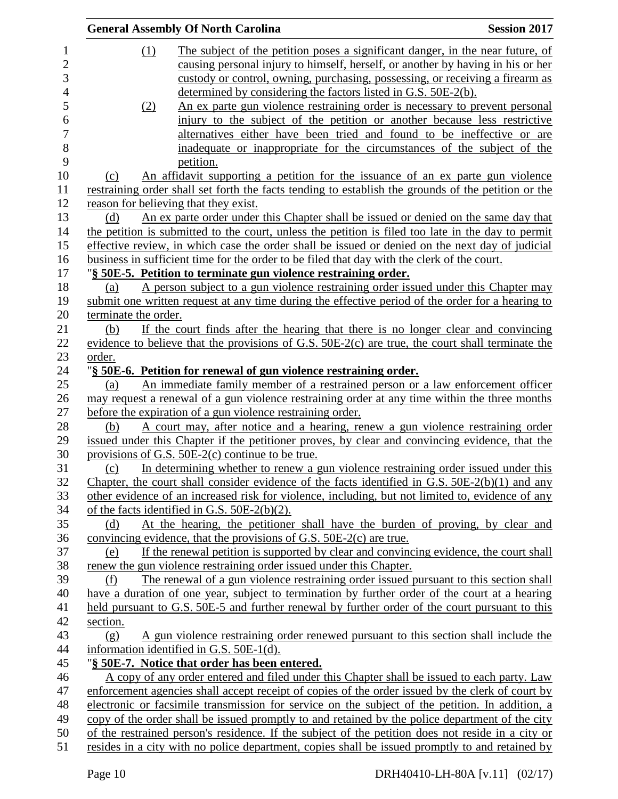|                      | <b>General Assembly Of North Carolina</b>                                                           | <b>Session 2017</b> |
|----------------------|-----------------------------------------------------------------------------------------------------|---------------------|
| (1)                  | The subject of the petition poses a significant danger, in the near future, of                      |                     |
|                      | causing personal injury to himself, herself, or another by having in his or her                     |                     |
|                      | custody or control, owning, purchasing, possessing, or receiving a firearm as                       |                     |
|                      | determined by considering the factors listed in G.S. 50E-2(b).                                      |                     |
| (2)                  | An ex parte gun violence restraining order is necessary to prevent personal                         |                     |
|                      | injury to the subject of the petition or another because less restrictive                           |                     |
|                      | alternatives either have been tried and found to be ineffective or are                              |                     |
|                      | inadequate or inappropriate for the circumstances of the subject of the                             |                     |
|                      | petition.                                                                                           |                     |
| (c)                  | An affidavit supporting a petition for the issuance of an ex parte gun violence                     |                     |
|                      | restraining order shall set forth the facts tending to establish the grounds of the petition or the |                     |
|                      | reason for believing that they exist.                                                               |                     |
| (d)                  | An ex parte order under this Chapter shall be issued or denied on the same day that                 |                     |
|                      | the petition is submitted to the court, unless the petition is filed too late in the day to permit  |                     |
|                      | effective review, in which case the order shall be issued or denied on the next day of judicial     |                     |
|                      | business in sufficient time for the order to be filed that day with the clerk of the court.         |                     |
|                      | "§ 50E-5. Petition to terminate gun violence restraining order.                                     |                     |
| (a)                  | A person subject to a gun violence restraining order issued under this Chapter may                  |                     |
|                      | submit one written request at any time during the effective period of the order for a hearing to    |                     |
| terminate the order. |                                                                                                     |                     |
| (b)                  | If the court finds after the hearing that there is no longer clear and convincing                   |                     |
|                      | evidence to believe that the provisions of G.S. $50E-2(c)$ are true, the court shall terminate the  |                     |
| order.               |                                                                                                     |                     |
|                      | "§ 50E-6. Petition for renewal of gun violence restraining order.                                   |                     |
| (a)                  | An immediate family member of a restrained person or a law enforcement officer                      |                     |
|                      | may request a renewal of a gun violence restraining order at any time within the three months       |                     |
|                      | before the expiration of a gun violence restraining order.                                          |                     |
| (b)                  | A court may, after notice and a hearing, renew a gun violence restraining order                     |                     |
|                      | issued under this Chapter if the petitioner proves, by clear and convincing evidence, that the      |                     |
|                      | provisions of G.S. $50E-2(c)$ continue to be true.                                                  |                     |
| (c)                  | In determining whether to renew a gun violence restraining order issued under this                  |                     |
|                      | Chapter, the court shall consider evidence of the facts identified in G.S. $50E-2(b)(1)$ and any    |                     |
|                      | other evidence of an increased risk for violence, including, but not limited to, evidence of any    |                     |
|                      | of the facts identified in G.S. $50E-2(b)(2)$ .                                                     |                     |
| (d)                  | At the hearing, the petitioner shall have the burden of proving, by clear and                       |                     |
|                      | convincing evidence, that the provisions of G.S. $50E-2(c)$ are true.                               |                     |
| (e)                  | If the renewal petition is supported by clear and convincing evidence, the court shall              |                     |
|                      | renew the gun violence restraining order issued under this Chapter.                                 |                     |
| (f)                  | The renewal of a gun violence restraining order issued pursuant to this section shall               |                     |
|                      | have a duration of one year, subject to termination by further order of the court at a hearing      |                     |
|                      | held pursuant to G.S. 50E-5 and further renewal by further order of the court pursuant to this      |                     |
| section.             |                                                                                                     |                     |
| (g)                  | A gun violence restraining order renewed pursuant to this section shall include the                 |                     |
|                      | information identified in G.S. 50E-1(d).                                                            |                     |
|                      | "§ 50E-7. Notice that order has been entered.                                                       |                     |
|                      | A copy of any order entered and filed under this Chapter shall be issued to each party. Law         |                     |
|                      | enforcement agencies shall accept receipt of copies of the order issued by the clerk of court by    |                     |
|                      | electronic or facsimile transmission for service on the subject of the petition. In addition, a     |                     |
|                      | copy of the order shall be issued promptly to and retained by the police department of the city     |                     |
|                      | of the restrained person's residence. If the subject of the petition does not reside in a city or   |                     |
|                      | resides in a city with no police department, copies shall be issued promptly to and retained by     |                     |